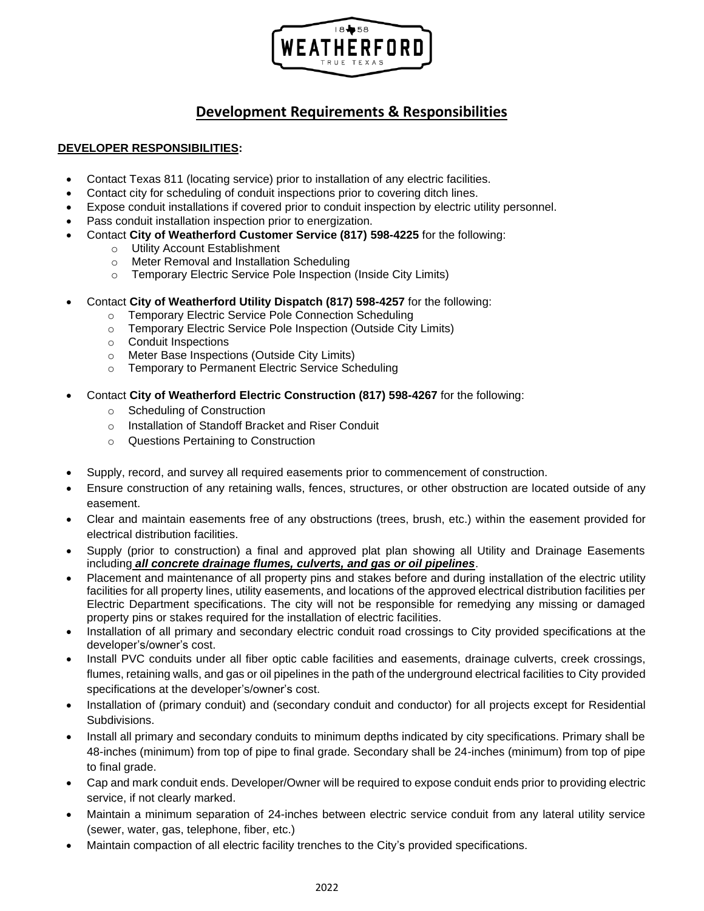

# **Development Requirements & Responsibilities**

## **DEVELOPER RESPONSIBILITIES:**

- Contact Texas 811 (locating service) prior to installation of any electric facilities.
- Contact city for scheduling of conduit inspections prior to covering ditch lines.
- Expose conduit installations if covered prior to conduit inspection by electric utility personnel.
- Pass conduit installation inspection prior to energization.
- Contact **City of Weatherford Customer Service (817) 598-4225** for the following:
	- o Utility Account Establishment
	- o Meter Removal and Installation Scheduling
	- o Temporary Electric Service Pole Inspection (Inside City Limits)
- Contact **City of Weatherford Utility Dispatch (817) 598-4257** for the following:
	- o Temporary Electric Service Pole Connection Scheduling
	- o Temporary Electric Service Pole Inspection (Outside City Limits)
	- o Conduit Inspections
	- o Meter Base Inspections (Outside City Limits)
	- o Temporary to Permanent Electric Service Scheduling
- Contact **City of Weatherford Electric Construction (817) 598-4267** for the following:
	- o Scheduling of Construction
	- o Installation of Standoff Bracket and Riser Conduit
	- o Questions Pertaining to Construction
- Supply, record, and survey all required easements prior to commencement of construction.
- Ensure construction of any retaining walls, fences, structures, or other obstruction are located outside of any easement.
- Clear and maintain easements free of any obstructions (trees, brush, etc.) within the easement provided for electrical distribution facilities.
- Supply (prior to construction) a final and approved plat plan showing all Utility and Drainage Easements including *all concrete drainage flumes, culverts, and gas or oil pipelines*.
- Placement and maintenance of all property pins and stakes before and during installation of the electric utility facilities for all property lines, utility easements, and locations of the approved electrical distribution facilities per Electric Department specifications. The city will not be responsible for remedying any missing or damaged property pins or stakes required for the installation of electric facilities.
- Installation of all primary and secondary electric conduit road crossings to City provided specifications at the developer's/owner's cost.
- Install PVC conduits under all fiber optic cable facilities and easements, drainage culverts, creek crossings, flumes, retaining walls, and gas or oil pipelines in the path of the underground electrical facilities to City provided specifications at the developer's/owner's cost.
- Installation of (primary conduit) and (secondary conduit and conductor) for all projects except for Residential Subdivisions.
- Install all primary and secondary conduits to minimum depths indicated by city specifications. Primary shall be 48-inches (minimum) from top of pipe to final grade. Secondary shall be 24-inches (minimum) from top of pipe to final grade.
- Cap and mark conduit ends. Developer/Owner will be required to expose conduit ends prior to providing electric service, if not clearly marked.
- Maintain a minimum separation of 24-inches between electric service conduit from any lateral utility service (sewer, water, gas, telephone, fiber, etc.)
- Maintain compaction of all electric facility trenches to the City's provided specifications.